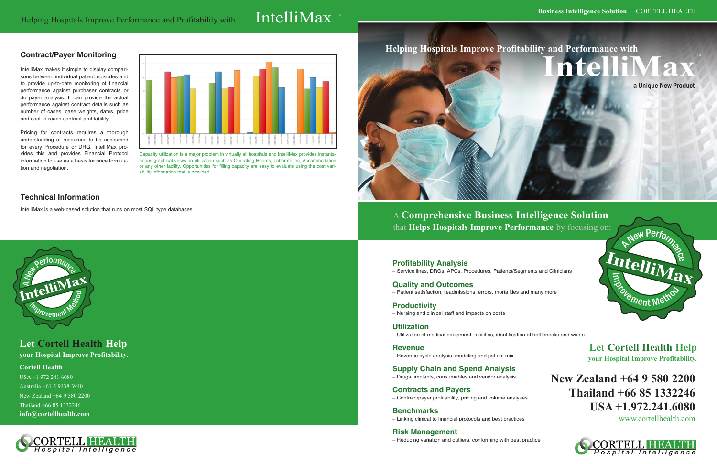**New Zealand +64 9 580 2200 Thailand +66 85 1332246 USA +1.972.241.6080** www.cortellhealth.com

> CORTELL I<del>I</del> Hospital Intelligence

**Let Cortell Health Help your Hospital Improve Profitability.**

### **Profitability Analysis**

– Service lines, DRGs, APCs, Procedures, Patients/Segments and Clinicians

### **Quality and Outcomes**

– Patient satisfaction, readmissions, errors, mortalities and many more

### **Productivity**

– Nursing and clinical staff and impacts on costs

### **Utilization**

– Utilization of medical equipment, facilities, identification of bottlenecks and waste

**Revenue** – Revenue cycle analysis, modeling and patient mix

## **Helping Hospitals Improve Profitability and Performance with** ntelliWax a Unique New Product

**Supply Chain and Spend Analysis** – Drugs, implants, consumables and vendor analysis

**Contracts and Payers**

– Contract/payer profitability, pricing and volume analyses

**Benchmarks** – Linking clinical to financial protocols and best practices

**Risk Management** – Reducing variation and outliers, conforming with best practice

## A **Comprehensive Business Intelligence Solution**  that **Helps Hospitals Improve Performance** by focusing on:



## **Let Cortell Health Help**

### **your Hospital Improve Profitability.**

## **Contract/Payer Monitoring**

IntelliMax makes it simple to display comparisons between individual patient episodes and to provide up-to-date monitoring of financial performance against purchaser contracts or do payer analysis. It can provide the actual performance against contract details such as number of cases, case weights, dates, price and cost to reach contract profitability.

Pricing for contracts requires a thorough understanding of resources to be consumed for every Procedure or DRG. IntelliMax provides this and provides Financial Protocol information to use as a basis for price formulation and negotiation.



**Cortell Health** 

USA +1 972 241 6080 Australia +61 2 9438 3940 New Zealand +64 9 580 2200

Thailand +66 85 1332246

**info@cortellhealth.com**



Capacity utilization is a major problem in virtually all hospitals and IntelliMax provides instantaneous graphical views on utilization such as Operating Rooms, Laboratories, Accommodation or any other facility. Opportunities for filling capacity are easy to evaluate using the cost variability information that is provided.



## **IntelliMax**



## **Technical Information**

IntelliMax is a web-based solution that runs on most SQL type databases.